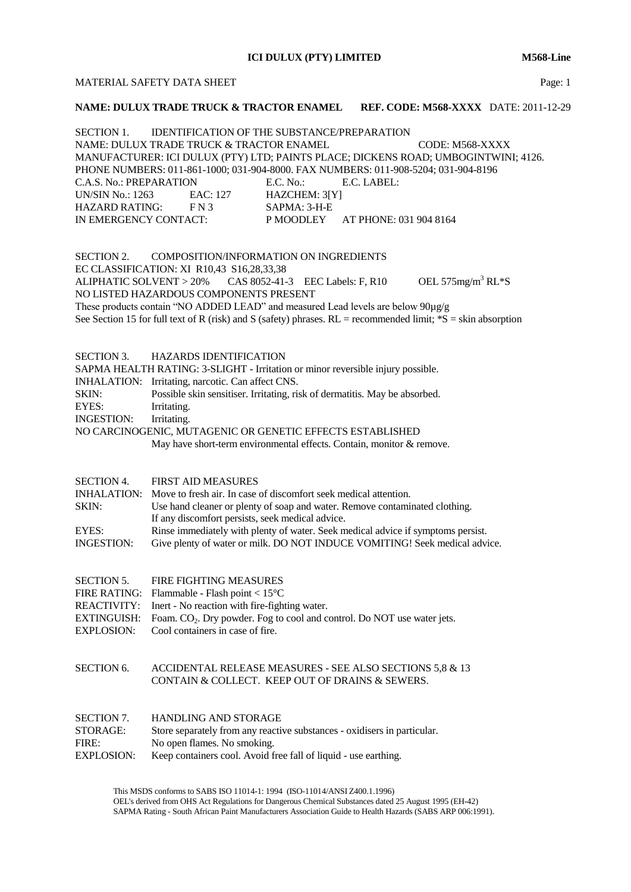## **ICI DULUX (PTY) LIMITED M568-Line**

#### MATERIAL SAFETY DATA SHEET **Page:** 1

## **NAME: DULUX TRADE TRUCK & TRACTOR ENAMEL REF. CODE: M568-XXXX** DATE: 2011-12-29

SECTION 1. IDENTIFICATION OF THE SUBSTANCE/PREPARATION NAME: DULUX TRADE TRUCK & TRACTOR ENAMEL CODE: M568-XXXX MANUFACTURER: ICI DULUX (PTY) LTD; PAINTS PLACE; DICKENS ROAD; UMBOGINTWINI; 4126. PHONE NUMBERS: 011-861-1000; 031-904-8000. FAX NUMBERS: 011-908-5204; 031-904-8196 C.A.S. No.: PREPARATION E.C. No.: E.C. LABEL: UN/SIN No.: 1263 EAC: 127 HAZCHEM: 3[Y]<br>HAZARD RATING: F N 3 SAPMA: 3-H-E  $HAZARD RATING: \t\t\t FN3$ IN EMERGENCY CONTACT: P MOODLEY AT PHONE: 031 904 8164

SECTION 2. COMPOSITION/INFORMATION ON INGREDIENTS EC CLASSIFICATION: XI R10,43 S16,28,33,38 ALIPHATIC SOLVENT  $>$  20% CAS 8052-41-3 EEC Labels: F, R10 OEL 575mg/m<sup>3</sup> RL\*S NO LISTED HAZARDOUS COMPONENTS PRESENT These products contain "NO ADDED LEAD" and measured Lead levels are below 90µg/g See Section 15 for full text of R (risk) and S (safety) phrases.  $RL =$  recommended limit;  $*S =$  skin absorption

SECTION 3. HAZARDS IDENTIFICATION

SAPMA HEALTH RATING: 3-SLIGHT - Irritation or minor reversible injury possible.

INHALATION: Irritating, narcotic. Can affect CNS.

| SKIN: | Possible skin sensitiser. Irritating, risk of dermatitis. May be absorbed. |
|-------|----------------------------------------------------------------------------|
| EYES: | Irritating.                                                                |

INGESTION: Irritating.

NO CARCINOGENIC, MUTAGENIC OR GENETIC EFFECTS ESTABLISHED

May have short-term environmental effects. Contain, monitor & remove.

| SECTION 4. | <b>FIRST AID MEASURES</b>                                                        |
|------------|----------------------------------------------------------------------------------|
|            | INHALATION: Move to fresh air. In case of discomfort seek medical attention.     |
| SKIN:      | Use hand cleaner or plenty of soap and water. Remove contaminated clothing.      |
|            | If any discomfort persists, seek medical advice.                                 |
| EYES:      | Rinse immediately with plenty of water. Seek medical advice if symptoms persist. |

INGESTION: Give plenty of water or milk. DO NOT INDUCE VOMITING! Seek medical advice.

| SECTION 5. FIRE FIGHTING MEASURES                                                               |
|-------------------------------------------------------------------------------------------------|
| FIRE RATING: Flammable - Flash point $< 15^{\circ}$ C                                           |
| REACTIVITY: Inert - No reaction with fire-fighting water.                                       |
| EXTINGUISH: Foam. CO <sub>2</sub> . Dry powder. Fog to cool and control. Do NOT use water jets. |
| EXPLOSION: Cool containers in case of fire.                                                     |

SECTION 6. ACCIDENTAL RELEASE MEASURES - SEE ALSO SECTIONS 5,8 & 13 CONTAIN & COLLECT. KEEP OUT OF DRAINS & SEWERS.

| SECTION 7.        | <b>HANDLING AND STORAGE</b>                                              |
|-------------------|--------------------------------------------------------------------------|
| STORAGE:          | Store separately from any reactive substances - oxidisers in particular. |
| FIRE:             | No open flames. No smoking.                                              |
| <b>EXPLOSION:</b> | Keep containers cool. Avoid free fall of liquid - use earthing.          |

This MSDS conforms to SABS ISO 11014-1: 1994 (ISO-11014/ANSI Z400.1.1996) OEL's derived from OHS Act Regulations for Dangerous Chemical Substances dated 25 August 1995 (EH-42) SAPMA Rating - South African Paint Manufacturers Association Guide to Health Hazards (SABS ARP 006:1991).